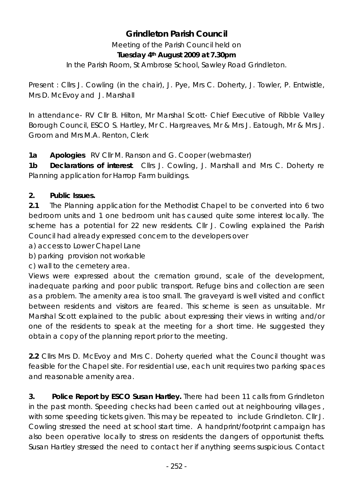# **Grindleton Parish Council**

Meeting of the Parish Council held on **Tuesday 4th August 2009 at 7.30pm** 

In the Parish Room, St Ambrose School, Sawley Road Grindleton.

Present : Cllrs J. Cowling (in the chair), J. Pye, Mrs C. Doherty, J. Towler, P. Entwistle, Mrs D. McEvoy and J. Marshall

In attendance- RV Cllr B. Hilton, Mr Marshal Scott- Chief Executive of Ribble Valley Borough Council, ESCO S. Hartley, Mr C. Hargreaves, Mr & Mrs J. Eatough, Mr & Mrs J. Groom and Mrs M.A. Renton, Clerk

**1a Apologies** RV Cllr M. Ranson and G. Cooper (webmaster)

**1b Declarations of interest**. Cllrs J. Cowling, J. Marshall and Mrs C. Doherty re Planning application for Harrop Farm buildings.

## **2. Public Issues.**

**2.1** The Planning application for the Methodist Chapel to be converted into 6 two bedroom units and 1 one bedroom unit has caused quite some interest locally. The scheme has a potential for 22 new residents. Cllr J. Cowling explained the Parish Council had already expressed concern to the developers over

a) access to Lower Chapel Lane

b) parking provision not workable

c) wall to the cemetery area.

Views were expressed about the cremation ground, scale of the development, inadequate parking and poor public transport. Refuge bins and collection are seen as a problem. The amenity area is too small. The graveyard is well visited and conflict between residents and visitors are feared. This scheme is seen as unsuitable. Mr Marshal Scott explained to the public about expressing their views in writing and/or one of the residents to speak at the meeting for a short time. He suggested they obtain a copy of the planning report prior to the meeting.

**2.2** Cllrs Mrs D. McEvoy and Mrs C. Doherty queried what the Council thought was feasible for the Chapel site. For residential use, each unit requires two parking spaces and reasonable amenity area.

**3. Police Report by ESCO Susan Hartley.** There had been 11 calls from Grindleton in the past month. Speeding checks had been carried out at neighbouring villages , with some speeding tickets given. This may be repeated to include Grindleton. Cllr J. Cowling stressed the need at school start time. A handprint/footprint campaign has also been operative locally to stress on residents the dangers of opportunist thefts. Susan Hartley stressed the need to contact her if anything seems suspicious. Contact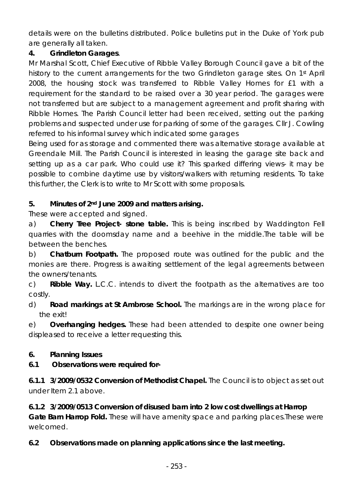details were on the bulletins distributed. Police bulletins put in the Duke of York pub are generally all taken.

### **4. Grindleton Garages**.

Mr Marshal Scott, Chief Executive of Ribble Valley Borough Council gave a bit of the history to the current arrangements for the two Grindleton garage sites. On 1<sup>st</sup> April 2008, the housing stock was transferred to Ribble Valley Homes for £1 with a requirement for the standard to be raised over a 30 year period. The garages were not transferred but are subject to a management agreement and profit sharing with Ribble Homes. The Parish Council letter had been received, setting out the parking problems and suspected under use for parking of some of the garages. Cllr J. Cowling referred to his informal survey which indicated some garages

Being used for as storage and commented there was alternative storage available at Greendale Mill. The Parish Council is interested in leasing the garage site back and setting up as a car park. Who could use it? This sparked differing views- it may be possible to combine daytime use by visitors/walkers with returning residents. To take this further, the Clerk is to write to Mr Scott with some proposals.

### **5. Minutes of 2nd June 2009 and matters arising.**

These were accepted and signed.

a) **Cherry Tree Project- stone table.** This is being inscribed by Waddington Fell quarries with the doomsday name and a beehive in the middle.The table will be between the benches.

b) **Chatburn Footpath.** The proposed route was outlined for the public and the monies are there. Progress is awaiting settlement of the legal agreements between the owners/tenants.

c) **Ribble Way.** L.C.C. intends to divert the footpath as the alternatives are too costly.

d) **Road markings at St Ambrose School.** The markings are in the wrong place for the exit!

e) **Overhanging hedges.** These had been attended to despite one owner being displeased to receive a letter requesting this.

### **6. Planning Issues**

### **6.1 Observations were required for-**

**6.1.1 3/2009/0532 Conversion of Methodist Chapel.** The Council is to object as set out under Item 2.1 above.

**6.1.2 3/2009/0513 Conversion of disused barn into 2 low cost dwellings at Harrop Gate Barn Harrop Fold.** These will have amenity space and parking places. These were welcomed.

## **6.2 Observations made on planning applications since the last meeting.**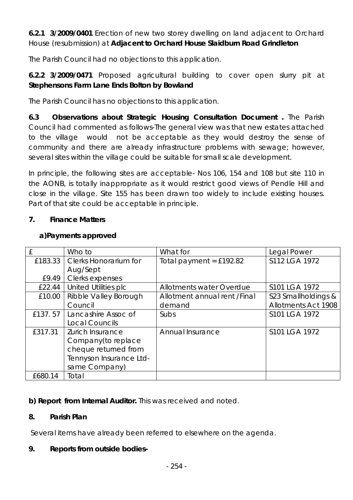**6.2.1 3/2009/0401** Erection of new two storey dwelling on land adjacent to Orchard House (resubmission) at **Adjacent to Orchard House Slaidburn Road Grindleton** 

The Parish Council had no objections to this application.

**6.2.2 3/2009/0471** Proposed agricultural building to cover open slurry pit at **Stephensons Farm Lane Ends Bolton by Bowland** 

The Parish Council has no objections to this application.

**6.3 Observations about Strategic Housing Consultation Document .** The Parish Council had commented as follows-The general view was that new estates attached to the village would not be acceptable as they would destroy the sense of community and there are already infrastructure problems with sewage; however, several sites within the village could be suitable for small scale development.

In principle, the following sites are acceptable- Nos 106, 154 and 108 but site 110 in the AONB, is totally inappropriate as it would restrict good views of Pendle Hill and close in the village. Site 155 has been drawn too widely to include existing houses. Part of that site could be acceptable in principle.

### **7. Finance Matters**

|         | Who to                  | What for                     | Legal Power                |
|---------|-------------------------|------------------------------|----------------------------|
| £183.33 | Clerks Honorarium for   | Total payment = $£192.82$    | S112 LGA 1972              |
|         | Aug/Sept                |                              |                            |
| £9.49   | Clerks expenses         |                              |                            |
| £22.44  | United Utilities plc    | Allotments water Overdue     | S101 LGA 1972              |
| £10.00  | Ribble Valley Borough   | Allotment annual rent /Final | S23 Smallholdings &        |
|         | Council                 | demand                       | <b>Allotments Act 1908</b> |
| £137.57 | Lancashire Assoc of     | Subs                         | S101 LGA 1972              |
|         | Local Councils          |                              |                            |
| £317.31 | Zurich Insurance        | Annual Insurance             | S101 LGA 1972              |
|         | Company(to replace      |                              |                            |
|         | cheque returned from    |                              |                            |
|         | Tennyson Insurance Ltd- |                              |                            |
|         | same Company)           |                              |                            |
| £680.14 | Total                   |                              |                            |

#### **a)Payments approved**

**b) Report from Internal Auditor.** This was received and noted.

### **8. Parish Plan**

Several items have already been referred to elsewhere on the agenda.

### **9. Reports from outside bodies-**